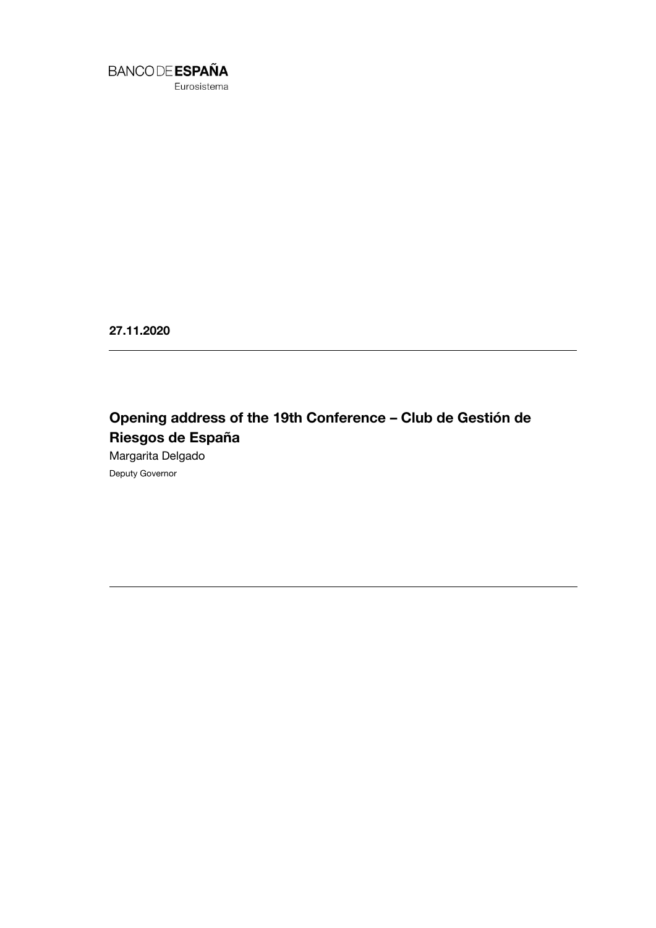

Eurosistema

**27.11.2020**

# **Opening address of the 19th Conference – Club de Gestión de Riesgos de España**

Margarita Delgado Deputy Governor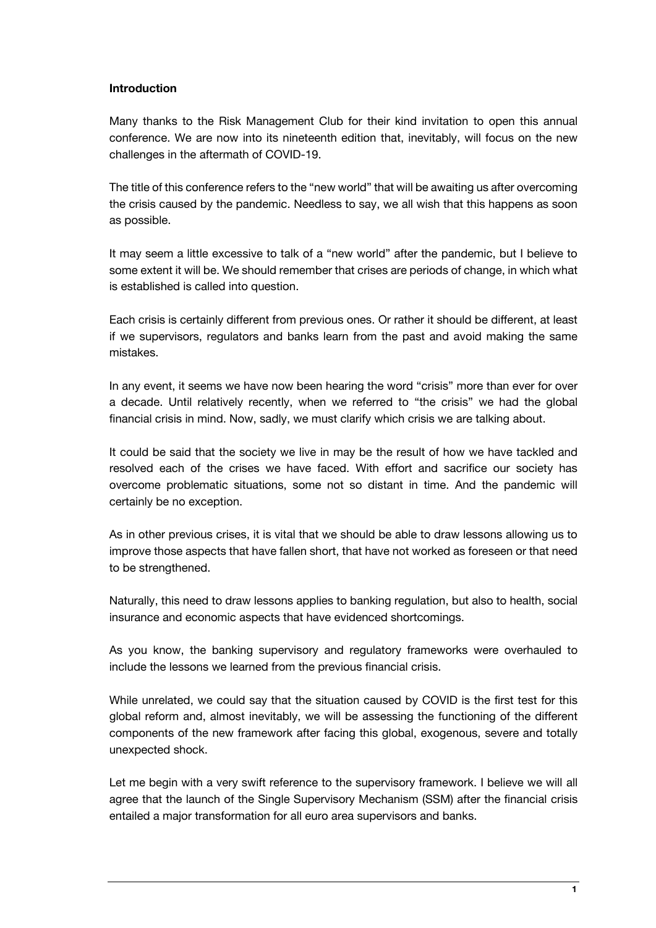#### **Introduction**

Many thanks to the Risk Management Club for their kind invitation to open this annual conference. We are now into its nineteenth edition that, inevitably, will focus on the new challenges in the aftermath of COVID-19.

The title of this conference refers to the "new world" that will be awaiting us after overcoming the crisis caused by the pandemic. Needless to say, we all wish that this happens as soon as possible.

It may seem a little excessive to talk of a "new world" after the pandemic, but I believe to some extent it will be. We should remember that crises are periods of change, in which what is established is called into question.

Each crisis is certainly different from previous ones. Or rather it should be different, at least if we supervisors, regulators and banks learn from the past and avoid making the same mistakes.

In any event, it seems we have now been hearing the word "crisis" more than ever for over a decade. Until relatively recently, when we referred to "the crisis" we had the global financial crisis in mind. Now, sadly, we must clarify which crisis we are talking about.

It could be said that the society we live in may be the result of how we have tackled and resolved each of the crises we have faced. With effort and sacrifice our society has overcome problematic situations, some not so distant in time. And the pandemic will certainly be no exception.

As in other previous crises, it is vital that we should be able to draw lessons allowing us to improve those aspects that have fallen short, that have not worked as foreseen or that need to be strengthened.

Naturally, this need to draw lessons applies to banking regulation, but also to health, social insurance and economic aspects that have evidenced shortcomings.

As you know, the banking supervisory and regulatory frameworks were overhauled to include the lessons we learned from the previous financial crisis.

While unrelated, we could say that the situation caused by COVID is the first test for this global reform and, almost inevitably, we will be assessing the functioning of the different components of the new framework after facing this global, exogenous, severe and totally unexpected shock.

Let me begin with a very swift reference to the supervisory framework. I believe we will all agree that the launch of the Single Supervisory Mechanism (SSM) after the financial crisis entailed a major transformation for all euro area supervisors and banks.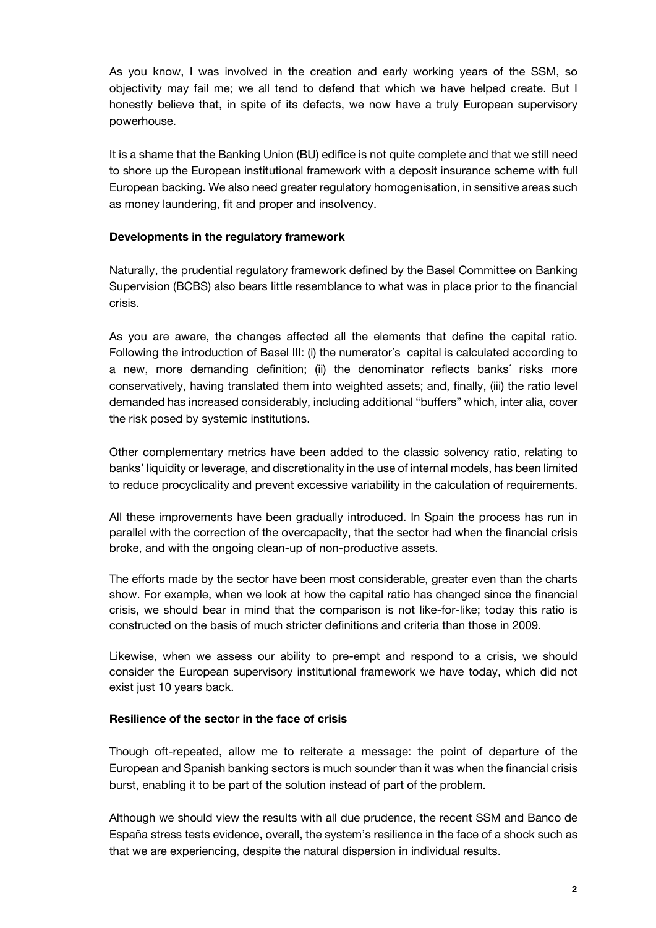As you know, I was involved in the creation and early working years of the SSM, so objectivity may fail me; we all tend to defend that which we have helped create. But I honestly believe that, in spite of its defects, we now have a truly European supervisory powerhouse.

It is a shame that the Banking Union (BU) edifice is not quite complete and that we still need to shore up the European institutional framework with a deposit insurance scheme with full European backing. We also need greater regulatory homogenisation, in sensitive areas such as money laundering, fit and proper and insolvency.

# **Developments in the regulatory framework**

Naturally, the prudential regulatory framework defined by the Basel Committee on Banking Supervision (BCBS) also bears little resemblance to what was in place prior to the financial crisis.

As you are aware, the changes affected all the elements that define the capital ratio. Following the introduction of Basel III: (i) the numerator´s capital is calculated according to a new, more demanding definition; (ii) the denominator reflects banks´ risks more conservatively, having translated them into weighted assets; and, finally, (iii) the ratio level demanded has increased considerably, including additional "buffers" which, inter alia, cover the risk posed by systemic institutions.

Other complementary metrics have been added to the classic solvency ratio, relating to banks' liquidity or leverage, and discretionality in the use of internal models, has been limited to reduce procyclicality and prevent excessive variability in the calculation of requirements.

All these improvements have been gradually introduced. In Spain the process has run in parallel with the correction of the overcapacity, that the sector had when the financial crisis broke, and with the ongoing clean-up of non-productive assets.

The efforts made by the sector have been most considerable, greater even than the charts show. For example, when we look at how the capital ratio has changed since the financial crisis, we should bear in mind that the comparison is not like-for-like; today this ratio is constructed on the basis of much stricter definitions and criteria than those in 2009.

Likewise, when we assess our ability to pre-empt and respond to a crisis, we should consider the European supervisory institutional framework we have today, which did not exist just 10 years back.

# **Resilience of the sector in the face of crisis**

Though oft-repeated, allow me to reiterate a message: the point of departure of the European and Spanish banking sectors is much sounder than it was when the financial crisis burst, enabling it to be part of the solution instead of part of the problem.

Although we should view the results with all due prudence, the recent SSM and Banco de España stress tests evidence, overall, the system's resilience in the face of a shock such as that we are experiencing, despite the natural dispersion in individual results.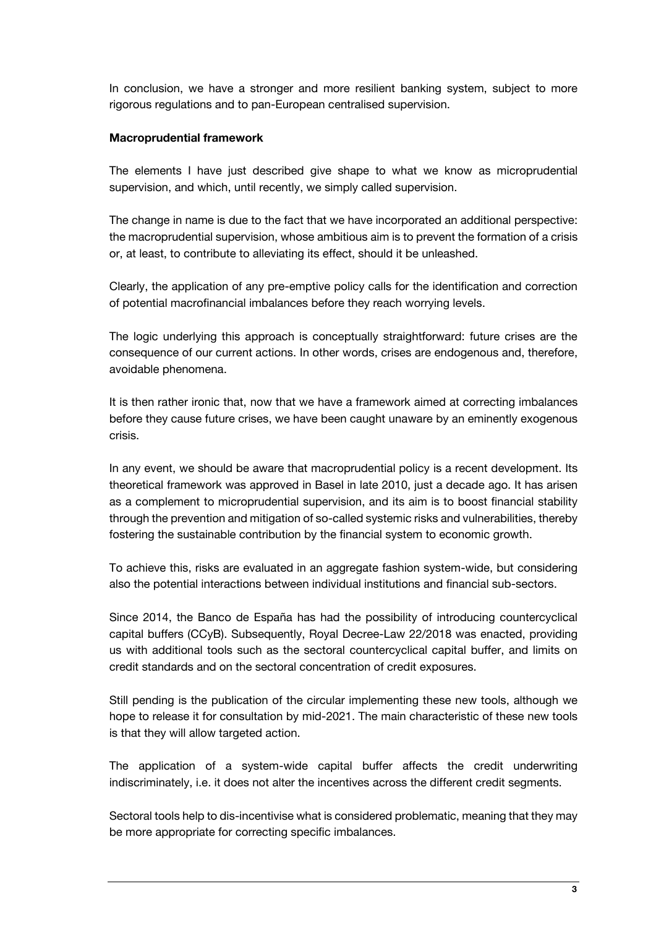In conclusion, we have a stronger and more resilient banking system, subject to more rigorous regulations and to pan-European centralised supervision.

### **Macroprudential framework**

The elements I have just described give shape to what we know as microprudential supervision, and which, until recently, we simply called supervision.

The change in name is due to the fact that we have incorporated an additional perspective: the macroprudential supervision, whose ambitious aim is to prevent the formation of a crisis or, at least, to contribute to alleviating its effect, should it be unleashed.

Clearly, the application of any pre-emptive policy calls for the identification and correction of potential macrofinancial imbalances before they reach worrying levels.

The logic underlying this approach is conceptually straightforward: future crises are the consequence of our current actions. In other words, crises are endogenous and, therefore, avoidable phenomena.

It is then rather ironic that, now that we have a framework aimed at correcting imbalances before they cause future crises, we have been caught unaware by an eminently exogenous crisis.

In any event, we should be aware that macroprudential policy is a recent development. Its theoretical framework was approved in Basel in late 2010, just a decade ago. It has arisen as a complement to microprudential supervision, and its aim is to boost financial stability through the prevention and mitigation of so-called systemic risks and vulnerabilities, thereby fostering the sustainable contribution by the financial system to economic growth.

To achieve this, risks are evaluated in an aggregate fashion system-wide, but considering also the potential interactions between individual institutions and financial sub-sectors.

Since 2014, the Banco de España has had the possibility of introducing countercyclical capital buffers (CCyB). Subsequently, Royal Decree-Law 22/2018 was enacted, providing us with additional tools such as the sectoral countercyclical capital buffer, and limits on credit standards and on the sectoral concentration of credit exposures.

Still pending is the publication of the circular implementing these new tools, although we hope to release it for consultation by mid-2021. The main characteristic of these new tools is that they will allow targeted action.

The application of a system-wide capital buffer affects the credit underwriting indiscriminately, i.e. it does not alter the incentives across the different credit segments.

Sectoral tools help to dis-incentivise what is considered problematic, meaning that they may be more appropriate for correcting specific imbalances.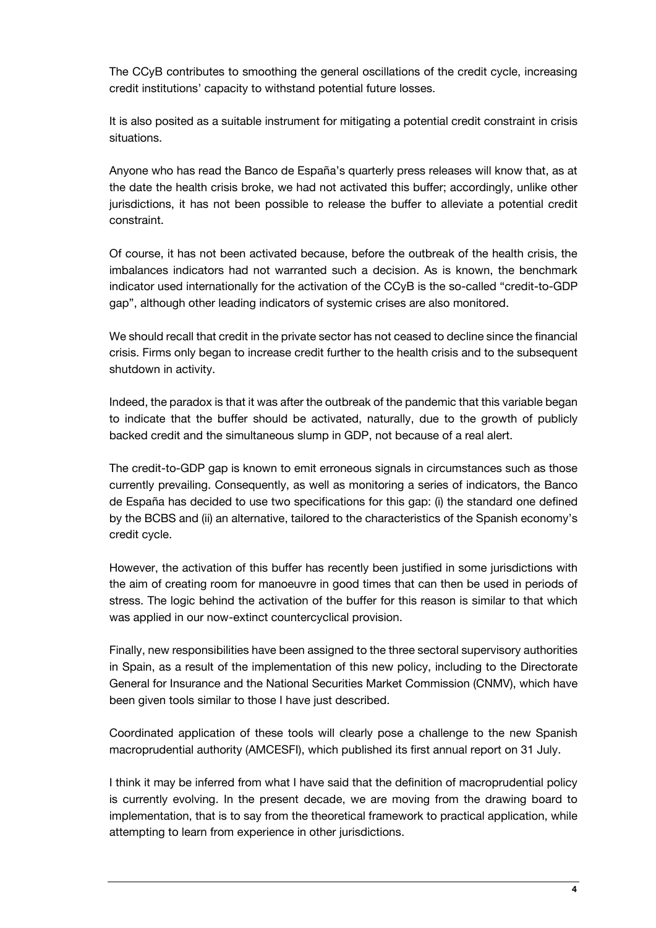The CCyB contributes to smoothing the general oscillations of the credit cycle, increasing credit institutions' capacity to withstand potential future losses.

It is also posited as a suitable instrument for mitigating a potential credit constraint in crisis situations.

Anyone who has read the Banco de España's quarterly press releases will know that, as at the date the health crisis broke, we had not activated this buffer; accordingly, unlike other jurisdictions, it has not been possible to release the buffer to alleviate a potential credit constraint.

Of course, it has not been activated because, before the outbreak of the health crisis, the imbalances indicators had not warranted such a decision. As is known, the benchmark indicator used internationally for the activation of the CCyB is the so-called "credit-to-GDP gap", although other leading indicators of systemic crises are also monitored.

We should recall that credit in the private sector has not ceased to decline since the financial crisis. Firms only began to increase credit further to the health crisis and to the subsequent shutdown in activity.

Indeed, the paradox is that it was after the outbreak of the pandemic that this variable began to indicate that the buffer should be activated, naturally, due to the growth of publicly backed credit and the simultaneous slump in GDP, not because of a real alert.

The credit-to-GDP gap is known to emit erroneous signals in circumstances such as those currently prevailing. Consequently, as well as monitoring a series of indicators, the Banco de España has decided to use two specifications for this gap: (i) the standard one defined by the BCBS and (ii) an alternative, tailored to the characteristics of the Spanish economy's credit cycle.

However, the activation of this buffer has recently been justified in some jurisdictions with the aim of creating room for manoeuvre in good times that can then be used in periods of stress. The logic behind the activation of the buffer for this reason is similar to that which was applied in our now-extinct countercyclical provision.

Finally, new responsibilities have been assigned to the three sectoral supervisory authorities in Spain, as a result of the implementation of this new policy, including to the Directorate General for Insurance and the National Securities Market Commission (CNMV), which have been given tools similar to those I have just described.

Coordinated application of these tools will clearly pose a challenge to the new Spanish macroprudential authority (AMCESFI), which published its first annual report on 31 July.

I think it may be inferred from what I have said that the definition of macroprudential policy is currently evolving. In the present decade, we are moving from the drawing board to implementation, that is to say from the theoretical framework to practical application, while attempting to learn from experience in other jurisdictions.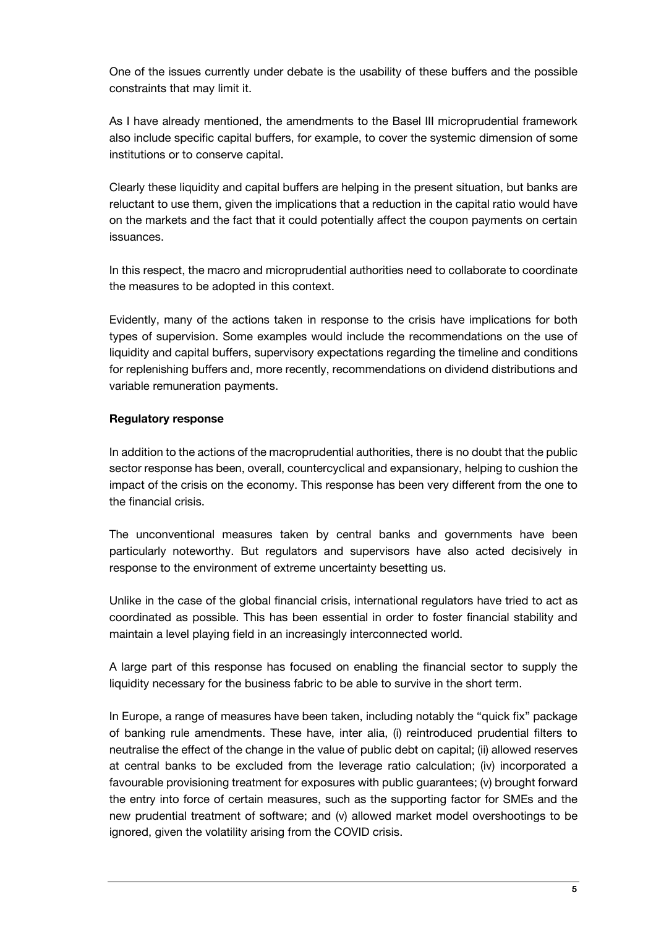One of the issues currently under debate is the usability of these buffers and the possible constraints that may limit it.

As I have already mentioned, the amendments to the Basel III microprudential framework also include specific capital buffers, for example, to cover the systemic dimension of some institutions or to conserve capital.

Clearly these liquidity and capital buffers are helping in the present situation, but banks are reluctant to use them, given the implications that a reduction in the capital ratio would have on the markets and the fact that it could potentially affect the coupon payments on certain issuances.

In this respect, the macro and microprudential authorities need to collaborate to coordinate the measures to be adopted in this context.

Evidently, many of the actions taken in response to the crisis have implications for both types of supervision. Some examples would include the recommendations on the use of liquidity and capital buffers, supervisory expectations regarding the timeline and conditions for replenishing buffers and, more recently, recommendations on dividend distributions and variable remuneration payments.

# **Regulatory response**

In addition to the actions of the macroprudential authorities, there is no doubt that the public sector response has been, overall, countercyclical and expansionary, helping to cushion the impact of the crisis on the economy. This response has been very different from the one to the financial crisis.

The unconventional measures taken by central banks and governments have been particularly noteworthy. But regulators and supervisors have also acted decisively in response to the environment of extreme uncertainty besetting us.

Unlike in the case of the global financial crisis, international regulators have tried to act as coordinated as possible. This has been essential in order to foster financial stability and maintain a level playing field in an increasingly interconnected world.

A large part of this response has focused on enabling the financial sector to supply the liquidity necessary for the business fabric to be able to survive in the short term.

In Europe, a range of measures have been taken, including notably the "quick fix" package of banking rule amendments. These have, inter alia, (i) reintroduced prudential filters to neutralise the effect of the change in the value of public debt on capital; (ii) allowed reserves at central banks to be excluded from the leverage ratio calculation; (iv) incorporated a favourable provisioning treatment for exposures with public guarantees; (v) brought forward the entry into force of certain measures, such as the supporting factor for SMEs and the new prudential treatment of software; and (v) allowed market model overshootings to be ignored, given the volatility arising from the COVID crisis.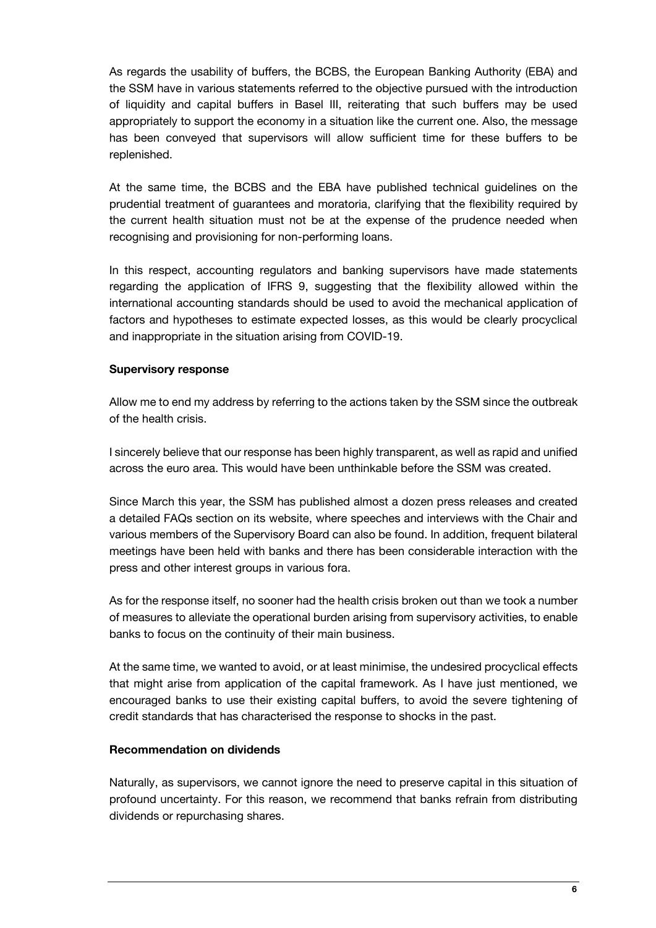As regards the usability of buffers, the BCBS, the European Banking Authority (EBA) and the SSM have in various statements referred to the objective pursued with the introduction of liquidity and capital buffers in Basel III, reiterating that such buffers may be used appropriately to support the economy in a situation like the current one. Also, the message has been conveyed that supervisors will allow sufficient time for these buffers to be replenished.

At the same time, the BCBS and the EBA have published technical guidelines on the prudential treatment of guarantees and moratoria, clarifying that the flexibility required by the current health situation must not be at the expense of the prudence needed when recognising and provisioning for non-performing loans.

In this respect, accounting regulators and banking supervisors have made statements regarding the application of IFRS 9, suggesting that the flexibility allowed within the international accounting standards should be used to avoid the mechanical application of factors and hypotheses to estimate expected losses, as this would be clearly procyclical and inappropriate in the situation arising from COVID-19.

#### **Supervisory response**

Allow me to end my address by referring to the actions taken by the SSM since the outbreak of the health crisis.

I sincerely believe that our response has been highly transparent, as well as rapid and unified across the euro area. This would have been unthinkable before the SSM was created.

Since March this year, the SSM has published almost a dozen press releases and created a detailed FAQs section on its website, where speeches and interviews with the Chair and various members of the Supervisory Board can also be found. In addition, frequent bilateral meetings have been held with banks and there has been considerable interaction with the press and other interest groups in various fora.

As for the response itself, no sooner had the health crisis broken out than we took a number of measures to alleviate the operational burden arising from supervisory activities, to enable banks to focus on the continuity of their main business.

At the same time, we wanted to avoid, or at least minimise, the undesired procyclical effects that might arise from application of the capital framework. As I have just mentioned, we encouraged banks to use their existing capital buffers, to avoid the severe tightening of credit standards that has characterised the response to shocks in the past.

# **Recommendation on dividends**

Naturally, as supervisors, we cannot ignore the need to preserve capital in this situation of profound uncertainty. For this reason, we recommend that banks refrain from distributing dividends or repurchasing shares.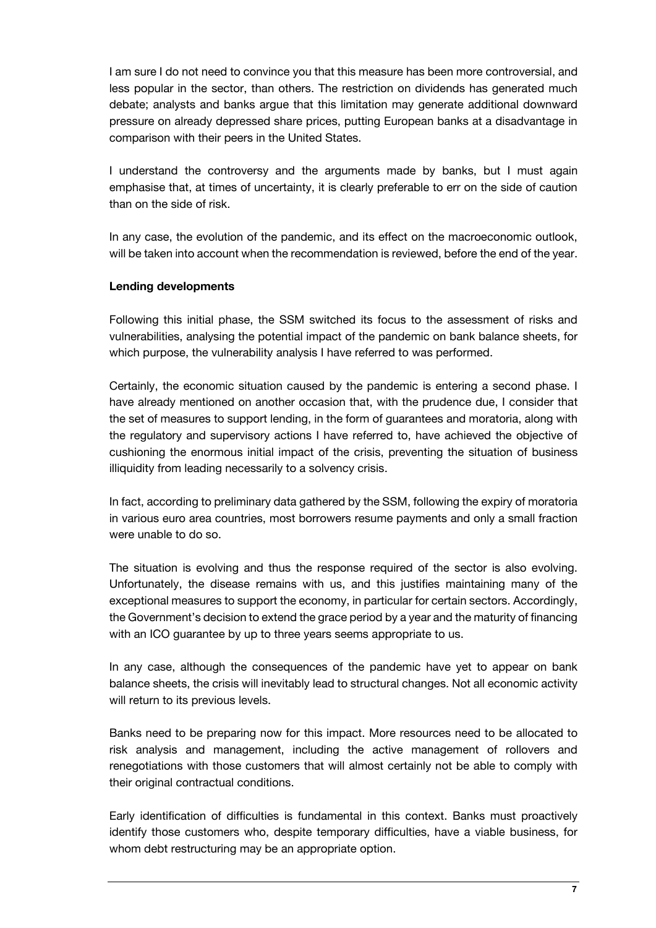I am sure I do not need to convince you that this measure has been more controversial, and less popular in the sector, than others. The restriction on dividends has generated much debate; analysts and banks argue that this limitation may generate additional downward pressure on already depressed share prices, putting European banks at a disadvantage in comparison with their peers in the United States.

I understand the controversy and the arguments made by banks, but I must again emphasise that, at times of uncertainty, it is clearly preferable to err on the side of caution than on the side of risk.

In any case, the evolution of the pandemic, and its effect on the macroeconomic outlook, will be taken into account when the recommendation is reviewed, before the end of the year.

# **Lending developments**

Following this initial phase, the SSM switched its focus to the assessment of risks and vulnerabilities, analysing the potential impact of the pandemic on bank balance sheets, for which purpose, the vulnerability analysis I have referred to was performed.

Certainly, the economic situation caused by the pandemic is entering a second phase. I have already mentioned on another occasion that, with the prudence due, I consider that the set of measures to support lending, in the form of guarantees and moratoria, along with the regulatory and supervisory actions I have referred to, have achieved the objective of cushioning the enormous initial impact of the crisis, preventing the situation of business illiquidity from leading necessarily to a solvency crisis.

In fact, according to preliminary data gathered by the SSM, following the expiry of moratoria in various euro area countries, most borrowers resume payments and only a small fraction were unable to do so.

The situation is evolving and thus the response required of the sector is also evolving. Unfortunately, the disease remains with us, and this justifies maintaining many of the exceptional measures to support the economy, in particular for certain sectors. Accordingly, the Government's decision to extend the grace period by a year and the maturity of financing with an ICO quarantee by up to three years seems appropriate to us.

In any case, although the consequences of the pandemic have yet to appear on bank balance sheets, the crisis will inevitably lead to structural changes. Not all economic activity will return to its previous levels.

Banks need to be preparing now for this impact. More resources need to be allocated to risk analysis and management, including the active management of rollovers and renegotiations with those customers that will almost certainly not be able to comply with their original contractual conditions.

Early identification of difficulties is fundamental in this context. Banks must proactively identify those customers who, despite temporary difficulties, have a viable business, for whom debt restructuring may be an appropriate option.